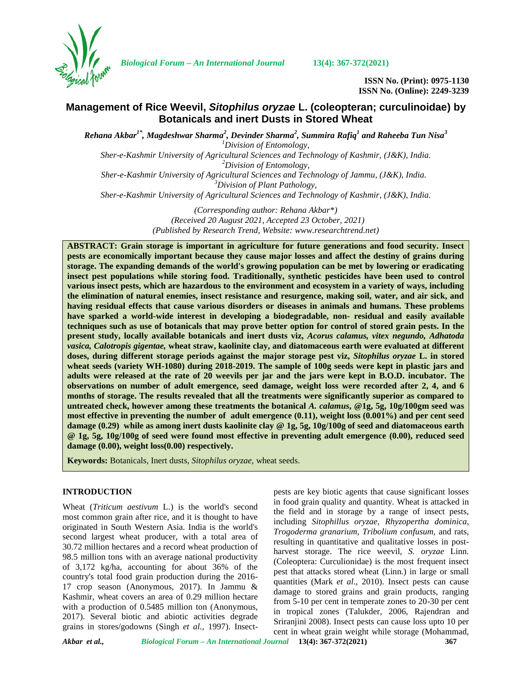

*Biological Forum – An International Journal* **13(4): 367-372(2021)**

**ISSN No. (Print): 0975-1130 ISSN No. (Online): 2249-3239**

# **Management of Rice Weevil,** *Sitophilus oryzae* **L. (coleopteran; curculinoidae) by Botanicals and inert Dusts in Stored Wheat**

*Rehana Akbar1\* , Magdeshwar Sharma<sup>2</sup> , Devinder Sharma<sup>2</sup> , Summira Rafiq<sup>1</sup> and Raheeba Tun Nisa<sup>3</sup> <sup>1</sup>Division of Entomology,*

*Sher-e-Kashmir University of Agricultural Sciences and Technology of Kashmir, (J&K), India. <sup>2</sup>Division of Entomology, Sher-e-Kashmir University of Agricultural Sciences and Technology of Jammu, (J&K), India. <sup>3</sup>Division of Plant Pathology,*

*Sher-e-Kashmir University of Agricultural Sciences and Technology of Kashmir, (J&K), India.*

*(Corresponding author: Rehana Akbar\*) (Received 20 August 2021, Accepted 23 October, 2021) (Published by Research Trend, Website: [www.researchtrend.net\)](www.researchtrend.net)*

**ABSTRACT: Grain storage is important in agriculture for future generations and food security. Insect pests are economically important because they cause major losses and affect the destiny of grains during storage. The expanding demands of the world's growing population can be met by lowering or eradicating insect pest populations while storing food. Traditionally, synthetic pesticides have been used to control various insect pests, which are hazardous to the environment and ecosystem in a variety of ways, including the elimination of natural enemies, insect resistance and resurgence, making soil, water, and air sick, and having residual effects that cause various disorders or diseases in animals and humans. These problems have sparked a world-wide interest in developing a biodegradable, non- residual and easily available techniques such as use of botanicals that may prove better option for control of stored grain pests. In the present study, locally available botanicals and inert dusts viz,** *Acorus calamus, vitex negundo, Adhatoda vasica, Calotropis gigentae,* **wheat straw, kaolinite clay, and diatomaceous earth were evaluated at different doses, during different storage periods against the major storage pest viz,** *Sitophilus oryzae* **L. in stored wheat seeds (variety WH-1080) during 2018-2019. The sample of 100g seeds were kept in plastic jars and adults were released at the rate of 20 weevils per jar and the jars were kept in B.O.D. incubator. The observations on number of adult emergence, seed damage, weight loss were recorded after 2, 4, and 6 months of storage. The results revealed that all the treatments were significantly superior as compared to untreated check, however among these treatments the botanical** *A. calamus***, @1g, 5g, 10g/100gm seed was most effective in preventing the number of adult emergence (0.11), weight loss (0.001%) and per cent seed damage (0.29) while as among inert dusts kaolinite clay @ 1g, 5g, 10g/100g of seed and diatomaceous earth @ 1g, 5g, 10g/100g of seed were found most effective in preventing adult emergence (0.00), reduced seed damage (0.00), weight loss(0.00) respectively.**

**Keywords:** Botanicals, Inert dusts, *Sitophilus oryzae,* wheat seeds.

### **INTRODUCTION**

Wheat (*Triticum aestivum* L.) is the world's second most common grain after rice, and it is thought to have originated in South Western Asia. India is the world's second largest wheat producer, with a total area of 30.72 million hectares and a record wheat production of 98.5 million tons with an average national productivity of 3,172 kg/ha, accounting for about 36% of the country's total food grain production during the 2016- 17 crop season (Anonymous, 2017). In Jammu & Kashmir, wheat covers an area of 0.29 million hectare with a production of 0.5485 million ton (Anonymous, 2017). Several biotic and abiotic activities degrade grains in stores/godowns (Singh *et al.,* 1997). Insectpests are key biotic agents that cause significant losses in food grain quality and quantity. Wheat is attacked in the field and in storage by a range of insect pests, including *Sitophillus oryzae, Rhyzopertha dominica*, *Trogoderma granarium, Tribolium confusum,* and rats, resulting in quantitative and qualitative losses in post harvest storage. The rice weevil, *S. oryzae* Linn. (Coleoptera: Curculionidae) is the most frequent insect pest that attacks stored wheat (Linn.) in large or small quantities (Mark *et al*., 2010). Insect pests can cause damage to stored grains and grain products, ranging from 5-10 per cent in temperate zones to 20-30 per cent in tropical zones (Talukder, 2006, Rajendran and Sriranjini 2008). Insect pests can cause loss upto 10 per cent in wheat grain weight while storage (Mohammad,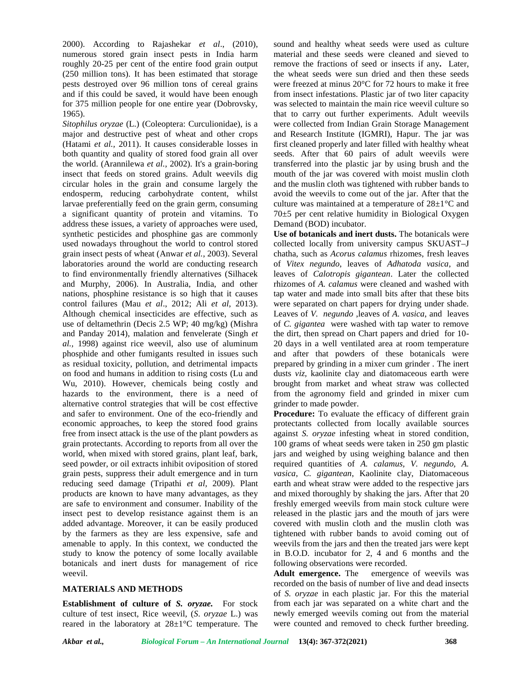2000). According to Rajashekar *et al*., (2010), numerous stored grain insect pests in India harm roughly 20-25 per cent of the entire food grain output (250 million tons). It has been estimated that storage pests destroyed over 96 million tons of cereal grains and if this could be saved, it would have been enough for 375 million people for one entire year (Dobrovsky, 1965).

*Sitophilus oryzae* (L.) (Coleoptera: Curculionidae), is a major and destructive pest of wheat and other crops (Hatami *et al.,* 2011). It causes considerable losses in both quantity and quality of stored food grain all over the world. (Arannilewa *et al.,* 2002). It's a grain-boring insect that feeds on stored grains. Adult weevils dig circular holes in the grain and consume largely the endosperm, reducing carbohydrate content, whilst larvae preferentially feed on the grain germ, consuming a significant quantity of protein and vitamins. To address these issues, a variety of approaches were used, synthetic pesticides and phosphine gas are commonly used nowadays throughout the world to control stored grain insect pests of wheat (Anwar *et al.*, 2003). Several laboratories around the world are conducting research to find environmentally friendly alternatives (Silhacek and Murphy, 2006). In Australia, India, and other nations, phosphine resistance is so high that it causes control failures (Mau *et al*., 2012; Ali *et al*, 2013). Although chemical insecticides are effective, such as use of deltamethrin (Decis 2.5 WP; 40 mg/kg) (Mishra and Panday 2014), malation and fenvelerate (Singh *et al.,* 1998) against rice weevil, also use of aluminum phosphide and other fumigants resulted in issues such as residual toxicity, pollution, and detrimental impacts on food and humans in addition to rising costs (Lu and Wu, 2010). However, chemicals being costly and hazards to the environment, there is a need of alternative control strategies that will be cost effective and safer to environment. One of the eco-friendly and economic approaches, to keep the stored food grains free from insect attack is the use of the plant powders as grain protectants. According to reports from all over the world, when mixed with stored grains, plant leaf, bark, seed powder, or oil extracts inhibit oviposition of stored grain pests, suppress their adult emergence and in turn reducing seed damage (Tripathi *et al,* 2009). Plant products are known to have many advantages, as they are safe to environment and consumer. Inability of the insect pest to develop resistance against them is an added advantage. Moreover, it can be easily produced by the farmers as they are less expensive, safe and amenable to apply. In this context, we conducted the study to know the potency of some locally available botanicals and inert dusts for management of rice weevil.

### **MATERIALS AND METHODS**

**Establishment of culture of** *S. oryzae.* For stock culture of test insect, Rice weevil, (*S*. *oryzae* L.) was reared in the laboratory at 28±1°C temperature. The sound and healthy wheat seeds were used as culture material and these seeds were cleaned and sieved to remove the fractions of seed or insects if any**.** Later, the wheat seeds were sun dried and then these seeds were freezed at minus 20°C for 72 hours to make it free from insect infestations. Plastic jar of two liter capacity was selected to maintain the main rice weevil culture so that to carry out further experiments. Adult weevils were collected from Indian Grain Storage Management and Research Institute (IGMRI), Hapur. The jar was first cleaned properly and later filled with healthy wheat seeds. After that 60 pairs of adult weevils were transferred into the plastic jar by using brush and the mouth of the jar was covered with moist muslin cloth and the muslin cloth was tightened with rubber bands to avoid the weevils to come out of the jar. After that the culture was maintained at a temperature of 28±1°C and 70±5 per cent relative humidity in Biological Oxygen Demand (BOD) incubator.

**Use of botanicals and inert dusts.** The botanicals were collected locally from university campus SKUAST–J chatha, such as *Acorus calamus* rhizomes, fresh leaves of *Vitex negundo*, leaves of *Adhatoda vasica*, and leaves of *Calotropis gigantean*. Later the collected rhizomes of *A. calamus* were cleaned and washed with tap water and made into small bits after that these bits were separated on chart papers for drying under shade. Leaves of *V. negundo* ,leaves of *A. vasica*, and leaves of *C. gigantea* were washed with tap water to remove the dirt, then spread on Chart papers and dried for 10- 20 days in a well ventilated area at room temperature and after that powders of these botanicals were prepared by grinding in a mixer cum grinder . The inert dusts *viz,* kaolinite clay and diatomaceous earth were brought from market and wheat straw was collected from the agronomy field and grinded in mixer cum grinder to made powder.

**Procedure:** To evaluate the efficacy of different grain protectants collected from locally available sources against *S. oryzae* infesting wheat in stored condition, 100 grams of wheat seeds were taken in 250 gm plastic jars and weighed by using weighing balance and then required quantities of *A. calamus, V. negundo, A. vasica*, *C. gigantean*, Kaolinite clay, Diatomaceous earth and wheat straw were added to the respective jars and mixed thoroughly by shaking the jars. After that 20 freshly emerged weevils from main stock culture were released in the plastic jars and the mouth of jars were covered with muslin cloth and the muslin cloth was tightened with rubber bands to avoid coming out of weevils from the jars and then the treated jars were kept in B.O.D. incubator for 2, 4 and 6 months and the following observations were recorded.

**Adult emergence.** The emergence of weevils was recorded on the basis of number of live and dead insects of *S. oryzae* in each plastic jar. For this the material from each jar was separated on a white chart and the newly emerged weevils coming out from the material were counted and removed to check further breeding.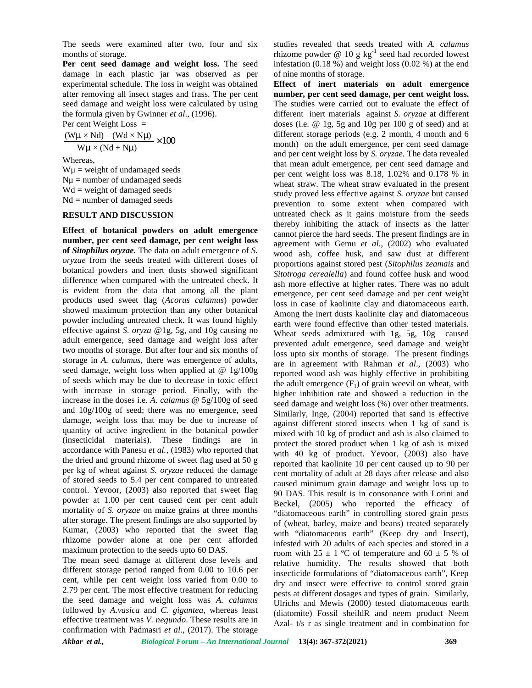The seeds were examined after two, four and six months of storage.

**Per cent seed damage and weight loss.** The seed damage in each plastic jar was observed as per experimental schedule. The loss in weight was obtained after removing all insect stages and frass. The per cent seed damage and weight loss were calculated by using the formula given by Gwinner *et al*., (1996). The seeds were examined after two, four and<br>months of storage.<br>**Per cent seed damage and weight loss.** The<br>damage in each plastic jar was observed as<br>experimental schedule. The loss in weight was obta<br>after removing all i seeds were examined after two, four<br>ths of storage.<br>**cent seed damage and weight loss.** I<br>age in each plastic jar was observed<br>erimental schedule. The loss in weight was<br>removing all insect stages and frass. The<br>damage an seeds were examined after two, four and six<br>
this of storage.<br> **cent seed damage and weight loss.** The seed infestation<br>
age in each plastic jar was observed as per<br>
erimental schedule. The loss in weight was obtained<br> **E** eeds were examined after two, four and six<br>so f storage.<br> **ent seed damage and weight loss.** The seed<br>
infest<br>
e in each plastic jar was observed as per<br>
of nimental schedule. The loss in weight was obtained<br> **Effe**<br>
emov

$$
\frac{(W\mu \times Nd) - (Wd \times N\mu)}{W\mu \times (Nd + Nu)} \times 10
$$

Whereas,

 $W\mu$  = weight of undamaged seeds  $N\mu$  = number of undamaged seeds  $Wd = weight of damaged seeds$  $Nd = number of damaged seeds$ 

### **RESULT AND DISCUSSION**

**Effect of botanical powders on adult emergence number, per cent seed damage, per cent weight loss of** *Sitophilus oryzae.* The data on adult emergence of *S. oryzae* from the seeds treated with different doses of botanical powders and inert dusts showed significant difference when compared with the untreated check. It is evident from the data that among all the plant products used sweet flag (*Acorus calamus*) powder showed maximum protection than any other botanical powder including untreated check. It was found highly effective against *S. oryza* @1g, 5g, and 10g causing no adult emergence, seed damage and weight loss after two months of storage. But after four and six months of storage in *A. calamus,* there was emergence of adults, seed damage, weight loss when applied at @ 1g/100g of seeds which may be due to decrease in toxic effect with increase in storage period. Finally, with the increase in the doses i.e. *A. calamus* @ 5g/100g of seed and 10g/100g of seed; there was no emergence, seed damage, weight loss that may be due to increase of quantity of active ingredient in the botanical powder (insecticidal materials). These findings are in accordance with Panesu *et al.,* (1983) who reported that the dried and ground rhizome of sweet flag used at 50 g per kg of wheat against *S. oryzae* reduced the damage of stored seeds to 5.4 per cent compared to untreated control. Yevoor, (2003) also reported that sweet flag powder at 1.00 per cent caused cent per cent adult mortality of *S. oryzae* on maize grains at three months after storage. The present findings are also supported by Kumar, (2003) who reported that the sweet flag rhizome powder alone at one per cent afforded maximum protection to the seeds upto 60 DAS.

The mean seed damage at different dose levels and different storage period ranged from 0.00 to 10.6 per cent, while per cent weight loss varied from 0.00 to 2.79 per cent. The most effective treatment for reducing the seed damage and weight loss was *A. calamus* followed by *A.vasica* and *C. gigantea*, whereas least effective treatment was *V. negundo*. These results are in confirmation with Padmasri *et al*., (2017). The storage studies revealed that seeds treated with *A. calamus* rhizome powder  $\omega$  10 g kg<sup>-1</sup> seed had recorded lowest infestation (0.18 %) and weight loss (0.02 %) at the end of nine months of storage.

**Effect of inert materials on adult emergence number, per cent seed damage, per cent weight loss.** The studies were carried out to evaluate the effect of different inert materials against *S. oryzae* at different doses (i.e. @ 1g, 5g and 10g per 100 g of seed) and at different storage periods (e.g. 2 month, 4 month and 6 month) on the adult emergence, per cent seed damage and per cent weight loss by *S. oryzae.* The data revealed that mean adult emergence, per cent seed damage and per cent weight loss was 8.18, 1.02% and 0.178 % in wheat straw. The wheat straw evaluated in the present study proved less effective against *S. oryzae* but caused prevention to some extent when compared with untreated check as it gains moisture from the seeds thereby inhibiting the attack of insects as the latter cannot pierce the hard seeds. The present findings are in agreement with Gemu *et al.,* (2002) who evaluated wood ash, coffee husk, and saw dust at different proportions against stored pest (*Sitophilus zeamais* and *Sitotroga cerealella*) and found coffee husk and wood ash more effective at higher rates. There was no adult emergence, per cent seed damage and per cent weight loss in case of kaolinite clay and diatomaceous earth. Among the inert dusts kaolinite clay and diatomaceous earth were found effective than other tested materials. Wheat seeds admixtured with 1g, 5g, 10g caused prevented adult emergence, seed damage and weight loss upto six months of storage. The present findings are in agreement with Rahman *et al*., (2003) who reported wood ash was highly effective in prohibiting the adult emergence  $(F_1)$  of grain weevil on wheat, with higher inhibition rate and showed a reduction in the seed damage and weight loss (%) over other treatments. Similarly, Inge, (2004) reported that sand is effective against different stored insects when 1 kg of sand is mixed with 10 kg of product and ash is also claimed to protect the stored product when 1 kg of ash is mixed with 40 kg of product. Yevoor, (2003) also have reported that kaolinite 10 per cent caused up to 90 per cent mortality of adult at 28 days after release and also caused minimum grain damage and weight loss up to 90 DAS. This result is in consonance with Lorini and Beckel, (2005) who reported the efficacy of "diatomaceous earth" in controlling stored grain pests of (wheat, barley, maize and beans) treated separately with "diatomaceous earth" (Keep dry and Insect), infested with 20 adults of each species and stored in a room with  $25 \pm 1$  °C of temperature and  $60 \pm 5$  % of relative humidity. The results showed that both insecticide formulations of "diatomaceous earth", Keep dry and insect were effective to control stored grain pests at different dosages and types of grain. Similarly, Ulrichs and Mewis (2000) tested diatomaceous earth (diatomite) Fossil sheildR and neem product Neem Azal- t/s r as single treatment and in combination for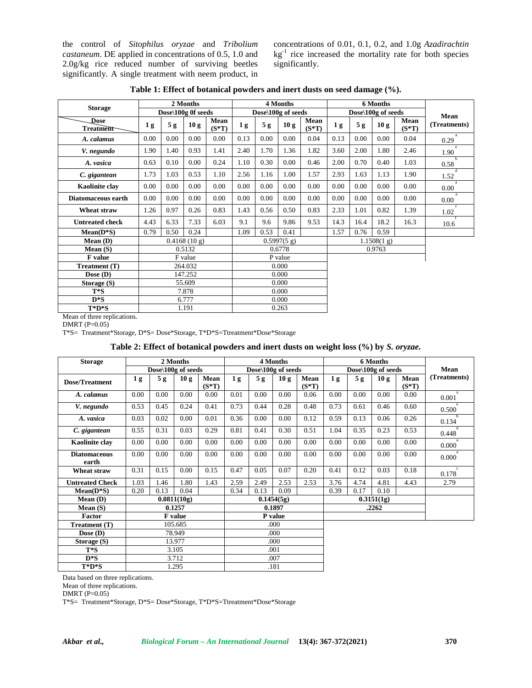the control of *Sitophilus oryzae* and *Tribolium castaneum*. DE applied in concentrations of 0.5, 1.0 and 2.0g/kg rice reduced number of surviving beetles significantly. A single treatment with neem product, in

concentrations of 0.01, 0.1, 0.2, and 1.0g *Azadirachtin*  $kg<sup>-1</sup>$  rice increased the mortality rate for both species significantly.

| <b>Storage</b>         |                |                    | 2 Months     |                 |                |                    | 4 Months    |                 |                | <b>6 Months</b>    |      |                 |                      |
|------------------------|----------------|--------------------|--------------|-----------------|----------------|--------------------|-------------|-----------------|----------------|--------------------|------|-----------------|----------------------|
|                        |                | Dose\100g 0f seeds |              |                 |                | Dose\100g of seeds |             |                 |                | Dose\100g of seeds | Mean |                 |                      |
| Dose<br>Treatment      | 1 <sub>g</sub> | 5g                 | 10g          | Mean<br>$(S*T)$ | 1 <sub>g</sub> | 5 <sub>g</sub>     | 10g         | Mean<br>$(S*T)$ | 1 <sub>g</sub> | 5 <sub>g</sub>     | 10g  | Mean<br>$(S*T)$ | (Treatments)         |
| A. calamus             | 0.00           | 0.00               | 0.00         | 0.00            | 0.13           | 0.00               | 0.00        | 0.04            | 0.13           | 0.00               | 0.00 | 0.04            | 0.29                 |
| V. negundo             | 1.90           | 1.40               | 0.93         | 1.41            | 2.40           | 1.70               | 1.36        | 1.82            | 3.60           | 2.00               | 1.80 | 2.46            | e<br>1.90            |
| A. vasica              | 0.63           | 0.10               | 0.00         | 0.24            | 1.10           | 0.30               | 0.00        | 0.46            | 2.00           | 0.70               | 0.40 | 1.03            | 0.58                 |
| C. gigantean           | 1.73           | 1.03               | 0.53         | 1.10            | 2.56           | 1.16               | 1.00        | 1.57            | 2.93           | 1.63               | 1.13 | 1.90            | 1.52                 |
| <b>Kaolinite clay</b>  | 0.00           | 0.00               | 0.00         | 0.00            | 0.00           | 0.00               | 0.00        | 0.00            | $0.00\,$       | 0.00               | 0.00 | 0.00            | $\mathbf{a}$<br>0.00 |
| Diatomaceous earth     | 0.00           | 0.00               | 0.00         | 0.00            | 0.00           | 0.00               | 0.00        | 0.00            | 0.00           | 0.00               | 0.00 | 0.00            | a<br>0.00            |
| Wheat straw            | 1.26           | 0.97               | 0.26         | 0.83            | 1.43           | 0.56               | 0.50        | 0.83            | 2.33           | 1.01               | 0.82 | 1.39            | $\epsilon$<br>1.02   |
| <b>Untreated check</b> | 4.43           | 6.33               | 7.33         | 6.03            | 9.1            | 9.6                | 9.86        | 9.53            | 14.3           | 16.4               | 18.2 | 16.3            | 10.6                 |
| $Mean(D*S)$            | 0.79           | 0.50               | 0.24         |                 | 1.09           | 0.53               | 0.41        |                 | 1.57           | 0.76               | 0.59 |                 |                      |
| Mean (D)               |                |                    | 0.4168(10 g) |                 |                |                    | 0.5997(5 g) |                 |                | 1.1508(1 g)        |      |                 |                      |
| Mean $(S)$             |                | 0.5132             |              |                 |                |                    | 0.6778      |                 |                | 0.9763             |      |                 |                      |
| <b>F</b> value         |                |                    | F value      |                 | P value        |                    |             |                 |                |                    |      |                 |                      |
| Treatment (T)          | 264.032        |                    |              |                 | 0.000          |                    |             |                 |                |                    |      |                 |                      |
| Dose $(D)$             | 147.252        |                    |              |                 | 0.000          |                    |             |                 |                |                    |      |                 |                      |
| Storage (S)            |                |                    | 55.609       |                 |                |                    | 0.000       |                 |                |                    |      |                 |                      |
| $T^*S$                 |                |                    | 7.878        |                 | 0.000          |                    |             |                 |                |                    |      |                 |                      |
| $D^*S$                 |                |                    | 6.777        |                 | 0.000          |                    |             |                 |                |                    |      |                 |                      |
| $T^*D^*S$              |                |                    | 1.191        |                 |                |                    | 0.263       |                 |                |                    |      |                 |                      |

**Table 1: Effect of botanical powders and inert dusts on seed damage (%).**

Mean of three replications.

 $DMRT$  (P=0.05)

T\*S= Treatment\*Storage, D\*S= Dose\*Storage, T\*D\*S=Ttreatment\*Dose\*Storage

## **Table 2: Effect of botanical powders and inert dusts on weight loss (%) by** *S. oryzae.*

| <b>Storage</b>               |                |                    | 2 Months |                  |      |                    | 4 Months   |                  |      | <b>6 Months</b>    |      |                  |                       |
|------------------------------|----------------|--------------------|----------|------------------|------|--------------------|------------|------------------|------|--------------------|------|------------------|-----------------------|
|                              |                | Dose\100g of seeds |          |                  |      | Dose\100g of seeds |            |                  |      | Dose\100g of seeds | Mean |                  |                       |
| <b>Dose/Treatment</b>        | 1 <sub>g</sub> | 5g                 | 10g      | Mean<br>$(S^*T)$ | 1g   | 5g                 | 10g        | Mean<br>$(S^*T)$ | 1g   | 5g                 | 10g  | Mean<br>$(S^*T)$ | (Treatments)          |
| A. calamus                   | 0.00           | 0.00               | 0.00     | 0.00             | 0.01 | 0.00               | 0.00       | 0.06             | 0.00 | 0.00               | 0.00 | 0.00             | a<br>0.001            |
| V. negundo                   | 0.53           | 0.45               | 0.24     | 0.41             | 0.73 | 0.44               | 0.28       | 0.48             | 0.73 | 0.61               | 0.46 | 0.60             | 0.500                 |
| A. vasica                    | 0.03           | 0.02               | 0.00     | 0.01             | 0.36 | 0.00               | 0.00       | 0.12             | 0.59 | 0.13               | 0.06 | 0.26             | 0.134                 |
| C. gigantean                 | 0.55           | 0.31               | 0.03     | 0.29             | 0.81 | 0.41               | 0.30       | 0.51             | 1.04 | 0.35               | 0.23 | 0.53             | 0.448                 |
| <b>Kaolinite clay</b>        | 0.00           | 0.00               | 0.00     | 0.00             | 0.00 | 0.00               | 0.00       | 0.00             | 0.00 | 0.00               | 0.00 | 0.00             | 0.000                 |
| <b>Diatomaceous</b><br>earth | 0.00           | 0.00               | 0.00     | 0.00             | 0.00 | 0.00               | 0.00       | 0.00             | 0.00 | 0.00               | 0.00 | 0.00             | 0.000                 |
| Wheat straw                  | 0.31           | 0.15               | 0.00     | 0.15             | 0.47 | 0.05               | 0.07       | 0.20             | 0.41 | 0.12               | 0.03 | 0.18             | $\mathbf{c}$<br>0.178 |
| <b>Untreated Check</b>       | 1.03           | 1.46               | 1.80     | 1.43             | 2.59 | 2.49               | 2.53       | 2.53             | 3.76 | 4.74               | 4.81 | 4.43             | 2.79                  |
| $Mean(D*S)$                  | 0.20           | 0.13               | 0.04     |                  | 0.34 | 0.13               | 0.09       |                  | 0.39 | 0.17               | 0.10 |                  |                       |
| Mean(D)                      |                | 0.0811(10g)        |          |                  |      |                    | 0.1454(5g) |                  |      | 0.3151(1g)         |      |                  |                       |
| Mean $(S)$                   |                |                    | 0.1257   |                  |      |                    | 0.1897     |                  |      | .2262              |      |                  |                       |
| <b>Factor</b>                |                |                    | F value  |                  |      |                    | P value    |                  |      |                    |      |                  |                       |
| Treatment (T)                |                |                    | 105.685  |                  | .000 |                    |            |                  |      |                    |      |                  |                       |
| Dose $(D)$                   |                |                    | 78.949   |                  | .000 |                    |            |                  |      |                    |      |                  |                       |
| Storage (S)                  |                |                    | 13.977   |                  | .000 |                    |            |                  |      |                    |      |                  |                       |
| $T^*S$                       |                |                    | 3.105    |                  | .001 |                    |            |                  |      |                    |      |                  |                       |
| $D*S$                        |                |                    | 3.712    |                  | .007 |                    |            |                  |      |                    |      |                  |                       |
| $T^*D^*S$                    |                |                    | 1.295    |                  | .181 |                    |            |                  |      |                    |      |                  |                       |

Data based on three replications.

Mean of three replications.

DMRT (P=0.05)

T\*S= Treatment\*Storage, D\*S= Dose\*Storage, T\*D\*S=Ttreatment\*Dose\*Storage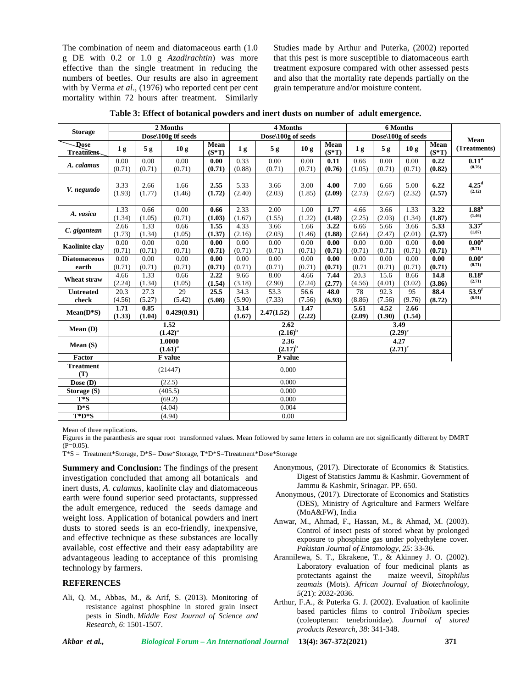The combination of neem and diatomaceous earth (1.0 g DE with 0.2 or 1.0 g *Azadirachtin*) was more effective than the single treatment in reducing the numbers of beetles. Our results are also in agreement with by Verma *et al*., (1976) who reported cent per cent mortality within 72 hours after treatment. Similarly Studies made by Arthur and Puterka, (2002) reported that this pest is more susceptible to diatomaceous earth treatment exposure compared with other assessed pests and also that the mortality rate depends partially on the grain temperature and/or moisture content.

|                              | 2 Months       |                |                        |                 |                | 4 Months             |                | 6 Months           |                |                |                |                 |                                     |
|------------------------------|----------------|----------------|------------------------|-----------------|----------------|----------------------|----------------|--------------------|----------------|----------------|----------------|-----------------|-------------------------------------|
| <b>Storage</b>               |                |                | Dose\100g 0f seeds     |                 |                | Dose\100g of seeds   |                | Dose\100g of seeds | Mean           |                |                |                 |                                     |
| Dose<br>Treatment            | 1 <sub>g</sub> | 5 <sub>g</sub> | 10g                    | Mean<br>$(S*T)$ | 1 <sub>g</sub> | 5g                   | 10g            | Mean<br>$(S*T)$    | 1 <sub>g</sub> | 5g             | 10g            | Mean<br>$(S*T)$ | (Treatments)                        |
| A. calamus                   | 0.00<br>(0.71) | 0.00<br>(0.71) | 0.00<br>(0.71)         | 0.00<br>(0.71)  | 0.33<br>(0.88) | 0.00<br>(0.71)       | 0.00<br>(0.71) | 0.11<br>(0.76)     | 0.66<br>(1.05) | 0.00<br>(0.71) | 0.00<br>(0.71) | 0.22<br>(0.82)  | 0.11 <sup>a</sup><br>(0.76)         |
| V. negundo                   | 3.33<br>(1.93) | 2.66<br>(1.77) | 1.66<br>(1.46)         | 2.55<br>(1.72)  | 5.33<br>(2.40) | 3.66<br>(2.03)       | 3.00<br>(1.85) | 4.00<br>(2.09)     | 7.00<br>(2.73) | 6.66<br>(2.67) | 5.00<br>(2.32) | 6.22<br>(2.57)  | 4.25 <sup>d</sup><br>(2.12)         |
| A. vasica                    | 1.33<br>(1.34) | 0.66<br>(1.05) | 0.00<br>(0.71)         | 0.66<br>(1.03)  | 2.33<br>(1.67) | $2.00\,$<br>(1.55)   | 1.00<br>(1.22) | 1.77<br>(1.48)     | 4.66<br>(2.25) | 3.66<br>(2.03) | 1.33<br>(1.34) | 3.22<br>(1.87)  | 1.88 <sup>b</sup><br>(1.46)         |
| C. gigantean                 | 2.66<br>(1.73) | 1.33<br>(1.34) | 0.66<br>(1.05)         | 1.55<br>(1.37)  | 4.33<br>(2.16) | 3.66<br>(2.03)       | 1.66<br>(1.46) | 3.22<br>(1.88)     | 6.66<br>(2.64) | 5.66<br>(2.47) | 3.66<br>(2.01) | 5.33<br>(2.37)  | $\overline{3.37^{\circ}}$<br>(1.87) |
| <b>Kaolinite clay</b>        | 0.00<br>(0.71) | 0.00<br>(0.71) | 0.00<br>(0.71)         | 0.00<br>(0.71)  | 0.00<br>(0.71) | 0.00<br>(0.71)       | 0.00<br>(0.71) | 0.00<br>(0.71)     | 0.00<br>(0.71) | 0.00<br>(0.71) | 0.00<br>(0.71) | 0.00<br>(0.71)  | 0.00 <sup>a</sup><br>(0.71)         |
| <b>Diatomaceous</b><br>earth | 0.00<br>(0.71) | 0.00<br>(0.71) | 0.00<br>(0.71)         | 0.00<br>(0.71)  | 0.00<br>(0.71) | 0.00<br>(0.71)       | 0.00<br>(0.71) | 0.00<br>(0.71)     | 0.00<br>(0.71) | 0.00<br>(0.71) | 0.00<br>(0.71) | 0.00<br>(0.71)  | 0.00 <sup>a</sup><br>(0.71)         |
| Wheat straw                  | 4.66<br>(2.24) | 1.33<br>(1.34) | 0.66<br>(1.05)         | 2.22<br>(1.54)  | 9.66<br>(3.18) | 8.00<br>(2.90)       | 4.66<br>(2.24) | 7.44<br>(2.77)     | 20.3<br>(4.56) | 15.6<br>(4.01) | 8.66<br>(3.02) | 14.8<br>(3.86)  | $8.18^e$<br>(2.71)                  |
| <b>Untreated</b><br>check    | 20.3<br>(4.56) | 27.3<br>(5.27) | 29<br>(5.42)           | 25.5<br>(5.08)  | 34.3<br>(5.90) | 53.3<br>(7.33)       | 56.6<br>(7.56) | 48.0<br>(6.93)     | 78<br>(8.86)   | 92.3<br>(7.56) | 95<br>(9.76)   | 88.4<br>(8.72)  | 53.9 <sup>f</sup><br>(6.91)         |
| $Mean(D*S)$                  | 1.71<br>(1.33) | 0.85<br>(1.04) | 0.429(0.91)            |                 | 3.14<br>(1.67) | 2.47(1.52)           | 1.47<br>(2.22) |                    | 5.61<br>(2.09) | 4.52<br>(1.90) | 2.66<br>(1.54) |                 |                                     |
| Mean (D)                     |                |                | 1.52<br>$(1.42)^{a}$   |                 |                | 2.62<br>$(2.16)^{b}$ |                | 3.49<br>$(2.29)^c$ |                |                |                |                 |                                     |
| Mean(S)                      |                |                | 1.0000<br>$(1.61)^{a}$ |                 |                | 2.36<br>$(2.17)^{b}$ |                | 4.27<br>$(2.71)^c$ |                |                |                |                 |                                     |
| Factor                       |                |                | F value                |                 |                | P value              |                |                    |                |                |                |                 |                                     |
| <b>Treatment</b><br>(T)      |                |                | (21447)                |                 | 0.000          |                      |                |                    |                |                |                |                 |                                     |
| Dose $(D)$                   |                |                | (22.5)                 |                 |                | 0.000                |                |                    |                |                |                |                 |                                     |
| Storage (S)                  |                |                | (405.5)                |                 |                | 0.000                |                |                    |                |                |                |                 |                                     |
| $T^*S$                       |                |                | (69.2)                 |                 |                | 0.000                |                |                    |                |                |                |                 |                                     |
| $D * S$                      |                |                | (4.04)                 |                 |                | 0.004                |                |                    |                |                |                |                 |                                     |
| $T^*D^*S$                    |                |                | (4.94)                 |                 |                | 0.00                 |                |                    |                |                |                |                 |                                     |

**Table 3: Effect of botanical powders and inert dusts on number of adult emergence.**

Mean of three replications.

Figures in the paranthesis are squar root transformed values. Mean followed by same letters in column are not significantly different by DMRT  $(P=0.05)$ .

T\*S = Treatment\*Storage, D\*S= Dose\*Storage, T\*D\*S=Ttreatment\*Dose\*Storage

**Summery and Conclusion:** The findings of the present investigation concluded that among all botanicals and inert dusts, *A. calamus*, kaolinite clay and diatomaceous earth were found superior seed protactants, suppressed the adult emergence, reduced the seeds damage and weight loss. Application of botanical powders and inert dusts to stored seeds is an eco-friendly, inexpensive, and effective technique as these substances are locally available, cost effective and their easy adaptability are advantageous leading to acceptance of this promising technology by farmers.

### **REFERENCES**

Ali, Q. M., Abbas, M., & Arif, S. (2013). Monitoring of resistance against phosphine in stored grain insect pests in Sindh. *Middle East Journal of Science and Research*, *6*: 1501-1507.

- Anonymous, (2017). Directorate of Economics & Statistics. Digest of Statistics Jammu & Kashmir*.* Government of Jammu & Kashmir, Srinagar. PP. 650.
- Anonymous, (2017). Directorate of Economics and Statistics (DES), Ministry of Agriculture and Farmers Welfare (MoA&FW), India
- Anwar, M., Ahmad, F., Hassan, M., & Ahmad, M. (2003). Control of insect pests of stored wheat by prolonged exposure to phosphine gas under polyethylene cover*. Pakistan Journal of Entomology*, *25*: 33-36.
- Arannilewa, S. T., Ekrakene, T., & Akinney J. O. (2002). Laboratory evaluation of four medicinal plants as protectants against the maize weevil, *Sitophilus zeamais* (Mots). *African Journal of Biotechnology*, *5*(21): 2032-2036.
- Arthur, F.A., & Puterka G. J. (2002). Evaluation of kaolinite based particles films to control *Tribolium* species (coleopteran: tenebrionidae). *Journal of stored products Research*, *38*: 341-348.